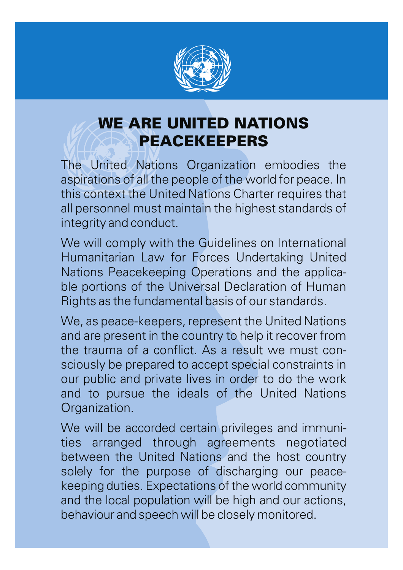

## WE ARE UNITED NATIONS PEACEKEEPERS

The United Nations Organization embodies the aspirations of all the people of the world for peace. In this context the United Nations Charter requires that all personnel must maintain the highest standards of integrity and conduct.

We will comply with the Guidelines on International Humanitarian Law for Forces Undertaking United Nations Peacekeeping Operations and the applicable portions of the Universal Declaration of Human Rights as the fundamental basis of our standards.

We, as peace-keepers, represent the United Nations and are present in the country to help it recover from the trauma of a conflict. As a result we must consciously be prepared to accept special constraints in our public and private lives in order to do the work and to pursue the ideals of the United Nations Organization.

We will be accorded certain privileges and immunities arranged through agreements negotiated between the United Nations and the host country solely for the purpose of discharging our peacekeeping duties. Expectations of the world community and the local population will be high and our actions, behaviour and speech will be closely monitored.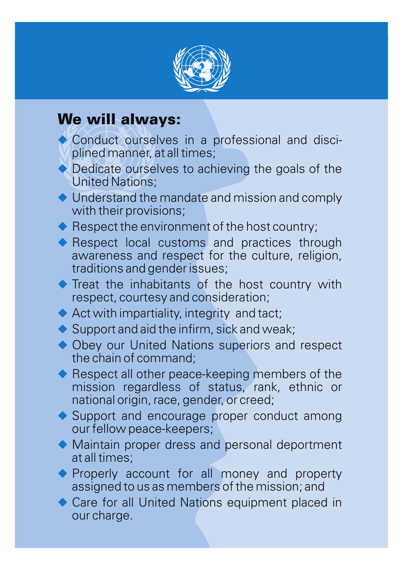

## We will always:

- Conduct ourselves in a professional and disciplined manner, at all times;
- ◆ Dedicate ourselves to achieving the goals of the United Nations;
- $\blacklozenge$  Understand the mandate and mission and comply with their provisions;
- Respect the environment of the host country;
- Respect local customs and practices through awareness and respect for the culture, religion, traditions and gender issues;
- Treat the inhabitants of the host country with respect, courtesy and consideration;
- Act with impartiality, integrity and tact;
- ◆ Support and aid the infirm, sick and weak;
- ◆ Obey our United Nations superiors and respect the chain of command;
- Respect all other peace-keeping members of the mission regardless of status, rank, ethnic or national origin, race, gender, or creed;
- ◆ Support and encourage proper conduct among our fellow peace-keepers;
- Maintain proper dress and personal deportment u at all times;
- **Properly account for all money and property** assigned to us as members of the mission; and
- ◆ Care for all United Nations equipment placed in our charge.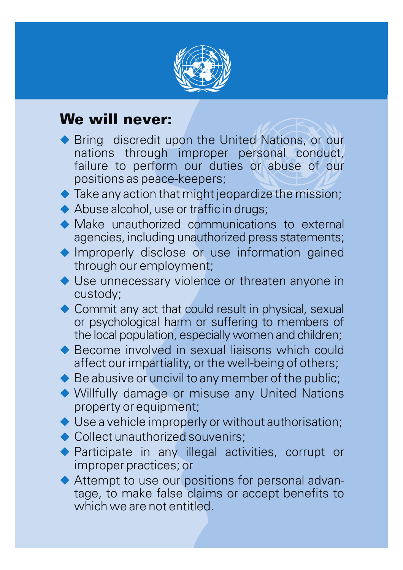

## We will never:

- ◆ Bring discredit upon the United Nations, or our nations through improper personal conduct, failure to perform our duties or abuse of our positions as peace-keepers;
- $\blacklozenge$  Take any action that might jeopardize the mission;
- ◆ Abuse alcohol, use or traffic in drugs;
- $\blacklozenge$  Make unauthorized communications to external agencies, including unauthorized press statements;
- **Improperly disclose or use information gained** through our employment;
- ◆ Use unnecessary violence or threaten anyone in custody;
- ◆ Commit any act that could result in physical, sexual or psychological harm or suffering to members of the local population, especially women and children;
- ◆ Become involved in sexual liaisons which could affect our impartiality, or the well-being of others;
- ◆ Be abusive or uncivil to any member of the public;
- Willfully damage or misuse any United Nations u property or equipment;
- ◆ Use a vehicle improperly or without authorisation;
- ◆ Collect unauthorized souvenirs;
- ◆ Participate in any illegal activities, corrupt or improper practices; or
- ◆ Attempt to use our positions for personal advantage, to make false claims or accept benefits to which we are not entitled.